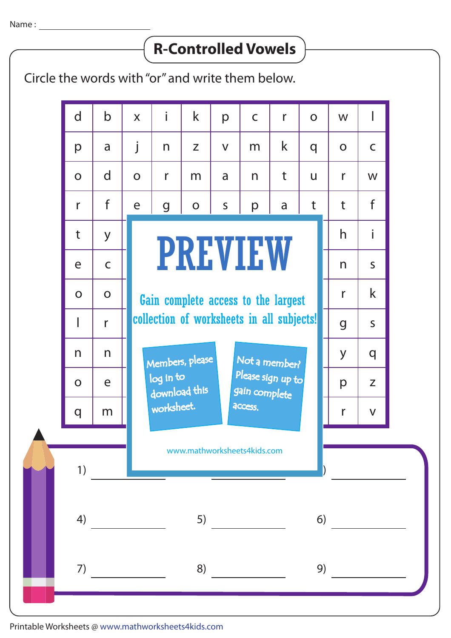## **R-Controlled Vowels**

Circle the words with "or" and write them below.



Printable Worksheets @ www.mathworksheets4kids.com